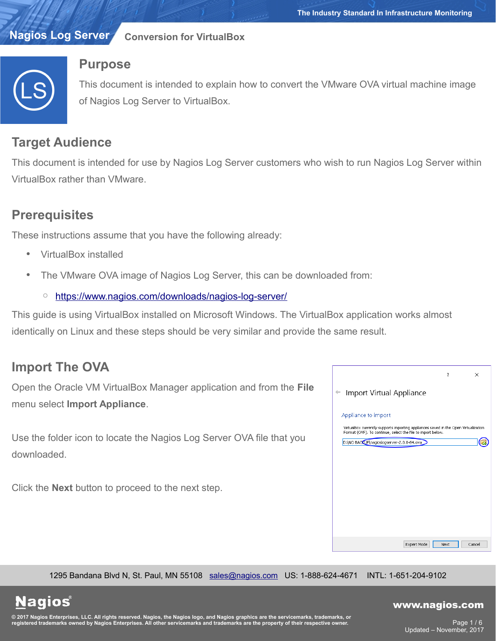#### **Nagios Log Server Conversion for VirtualBox**



## **Purpose**

This document is intended to explain how to convert the VMware OVA virtual machine image of Nagios Log Server to VirtualBox.

# **Target Audience**

This document is intended for use by Nagios Log Server customers who wish to run Nagios Log Server within VirtualBox rather than VMware.

# **Prerequisites**

These instructions assume that you have the following already:

- VirtualBox installed
- The VMware OVA image of Nagios Log Server, this can be downloaded from:
	- <https://www.nagios.com/downloads/nagios-log-server/>

This guide is using VirtualBox installed on Microsoft Windows. The VirtualBox application works almost identically on Linux and these steps should be very similar and provide the same result.

# **Import The OVA**

Open the Oracle VM VirtualBox Manager application and from the **File** menu select **Import Appliance**.

Use the folder icon to locate the Nagios Log Server OVA file that you downloaded.

Click the **Next** button to proceed to the next step.



1295 Bandana Blvd N, St. Paul, MN 55108 [sales@nagios.com](mailto:sales@nagios.com) US: 1-888-624-4671 INTL: 1-651-204-9102

**Nagios**®

### [www.nagios.com](https://www.nagios.com/)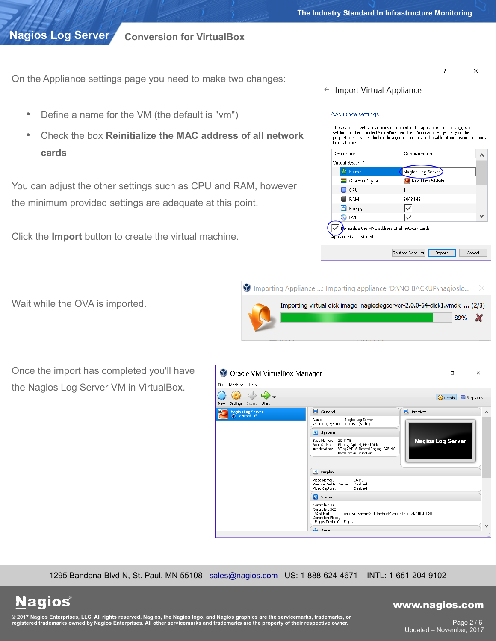### **Conversion for VirtualBox**

On the Appliance settings page you need to make two changes:

- Define a name for the VM (the default is "vm")
- Check the box **Reinitialize the MAC address of all network cards**

You can adjust the other settings such as CPU and RAM, however the minimum provided settings are adequate at this point.

Click the **Import** button to create the virtual machine.

| Appliance settings<br>boxes below.                                           | These are the virtual machines contained in the appliance and the suggested<br>settings of the imported VirtualBox machines. You can change many of the<br>properties shown by double-clicking on the items and disable others using the check |  |
|------------------------------------------------------------------------------|------------------------------------------------------------------------------------------------------------------------------------------------------------------------------------------------------------------------------------------------|--|
| Description                                                                  | Configuration                                                                                                                                                                                                                                  |  |
| Virtual System 1                                                             |                                                                                                                                                                                                                                                |  |
| <b>K</b> Name                                                                | Nagios Log Server                                                                                                                                                                                                                              |  |
| $\equiv$ Guest OS Type                                                       | Red Hat (64-bit)                                                                                                                                                                                                                               |  |
| $\Box$ CPH                                                                   | 1                                                                                                                                                                                                                                              |  |
| <b>RAM</b>                                                                   | 2048 MB                                                                                                                                                                                                                                        |  |
| Н<br>Floppy                                                                  |                                                                                                                                                                                                                                                |  |
| $\odot$ DVD                                                                  |                                                                                                                                                                                                                                                |  |
| Reinitialize the MAC address of all network cards<br>Appliance is not signed |                                                                                                                                                                                                                                                |  |

 $\overline{\mathbf{?}}$ 

 $\times$ 



| Once the import has completed you'll have |  |
|-------------------------------------------|--|
| the Nagios Log Server VM in VirtualBox.   |  |

Wait while the OVA is imported.

**Nagios®** 



1295 Bandana Blvd N, St. Paul, MN 55108 [sales@nagios.com](mailto:sales@nagios.com) US: 1-888-624-4671 INTL: 1-651-204-9102

[www.nagios.com](https://www.nagios.com/)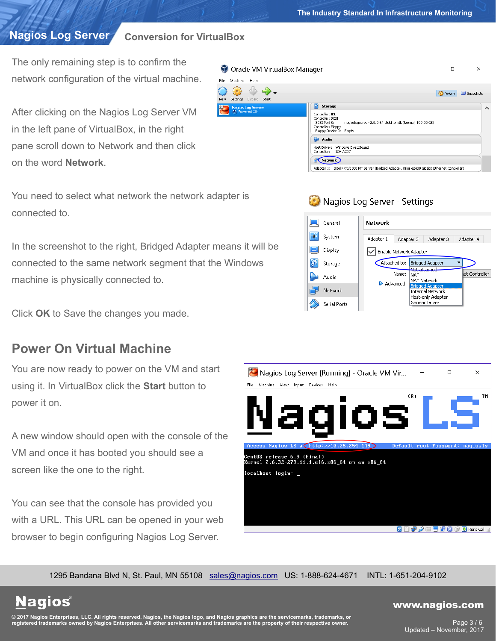## **Conversion for VirtualBox**

The only remaining step is to confirm the network configuration of the virtual machine.

After clicking on the Nagios Log Server VM in the left pane of VirtualBox, in the right pane scroll down to Network and then click on the word **Network**.

You need to select what network the network adapter is connected to.

In the screenshot to the right, Bridged Adapter means it will be connected to the same network segment that the Windows machine is physically connected to.

Click **OK** to Save the changes you made.

## **Power On Virtual Machine**

You are now ready to power on the VM and start using it. In VirtualBox click the **Start** button to power it on.

A new window should open with the console of the VM and once it has booted you should see a screen like the one to the right.

You can see that the console has provided you with a URL. This URL can be opened in your web browser to begin configuring Nagios Log Server.

| Oracle VM VirtualBox Manager                           | $\Box$<br>$\times$                                                                                                                                             |   |
|--------------------------------------------------------|----------------------------------------------------------------------------------------------------------------------------------------------------------------|---|
| File<br>Machine<br>Help                                |                                                                                                                                                                |   |
| d o :<br>Settings<br>Discard<br>New<br>Start           | <b>C</b> Details<br>Snapshots                                                                                                                                  |   |
| 64<br><b>Nagios Log Server</b><br><b>C</b> Powered Off | 10<br>Storage                                                                                                                                                  | ∧ |
|                                                        | Controller: IDE<br>Controller: SCSI<br>nagioslogserver-2.0.0-64-disk1.vmdk (Normal, 100.00 GB)<br>SCSI Port 0:<br>Controller: Floppy<br>Floppy Device 0: Empty |   |
|                                                        | æ<br>Audio                                                                                                                                                     |   |
|                                                        | Windows DirectSound<br>Host Driver:<br>Controller:<br>ICH AC97                                                                                                 |   |
|                                                        | Network                                                                                                                                                        |   |
|                                                        | Adapter 1: Intel PRO/1000 MT Server (Bridged Adapter, Killer e2400 Gigabit Ethernet Controller)                                                                |   |
|                                                        |                                                                                                                                                                |   |

## Nagios Log Server - Settings





1295 Bandana Blvd N, St. Paul, MN 55108 [sales@nagios.com](mailto:sales@nagios.com) US: 1-888-624-4671 INTL: 1-651-204-9102

**Nagios®** 

#### [www.nagios.com](https://www.nagios.com/)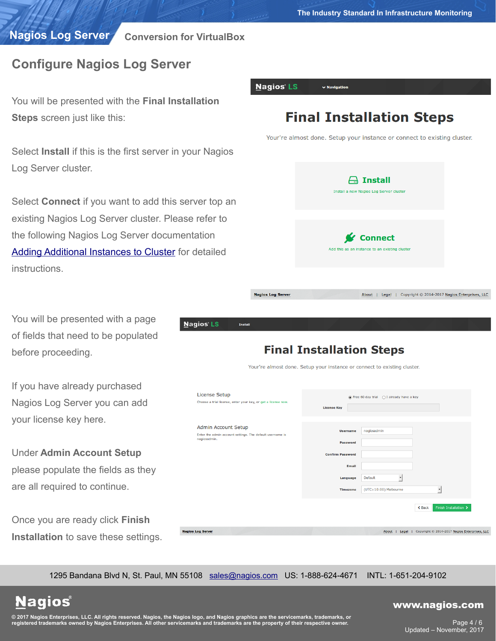**The Industry Standard In Infrastructure Monitoring**

**Nagios Log Server**

**Conversion for VirtualBox**

**Nagios** 

**Nagios Log Server** 

# **Configure Nagios Log Server**

You will be presented with the **Final Installatio Steps** screen just like this:

Select **Install** if this is the first server in your Nagional Log Server cluster.

Select **Connect** if you want to add this server to existing Nagios Log Server cluster. Please refe the following Nagios Log Server documentation **Adding Additional Instances to Cluster** for detail **instructions** 

You will be presented with a page of fields that need to be populated before proceeding.

If you have already purchased Nagios Log Server you can add your license key here.

Under **Admin Account Setup** please populate the fields as they are all required to continue.

|  |  | Once you are ready click Finish             |  |
|--|--|---------------------------------------------|--|
|  |  | <b>Installation</b> to save these settings. |  |

| <b>Nagios LS</b>                                                                        | $\vee$ Navigation                                                        |                                                               |
|-----------------------------------------------------------------------------------------|--------------------------------------------------------------------------|---------------------------------------------------------------|
| ation                                                                                   |                                                                          |                                                               |
|                                                                                         | <b>Final Installation Steps</b>                                          |                                                               |
|                                                                                         | Your're almost done. Setup your instance or connect to existing cluster. |                                                               |
| <b>r Nagios</b>                                                                         |                                                                          |                                                               |
|                                                                                         |                                                                          |                                                               |
|                                                                                         | <b>Install</b><br>Install a new Nagios Log Server cluster                |                                                               |
| er top an                                                                               |                                                                          |                                                               |
| refer to                                                                                |                                                                          |                                                               |
| ation                                                                                   | <b>v</b> Connect                                                         |                                                               |
| letailed                                                                                | Add this as an instance to an existing cluster                           |                                                               |
|                                                                                         |                                                                          |                                                               |
|                                                                                         |                                                                          |                                                               |
| <b>Nagios Log Server</b>                                                                |                                                                          | About   Legal   Copyright © 2014-2017 Nagios Enterprises, LLC |
|                                                                                         |                                                                          |                                                               |
| ios LS<br><b>Install</b>                                                                |                                                                          |                                                               |
|                                                                                         | <b>Final Installation Steps</b>                                          |                                                               |
|                                                                                         | Your're almost done. Setup your instance or connect to existing cluster. |                                                               |
|                                                                                         |                                                                          |                                                               |
| <b>License Setup</b><br>Choose a trial license, enter your key, or get a license now.   | ◉ Free 60 day trial ( I already have a key                               |                                                               |
|                                                                                         | <b>License Key</b>                                                       |                                                               |
| <b>Admin Account Setup</b><br>Enter the admin account settings. The default username is | nagiosadmin<br><b>Username</b>                                           |                                                               |
| nagiosadmin.                                                                            | <b>Password</b>                                                          |                                                               |
|                                                                                         | <b>Confirm Password</b><br>Email                                         |                                                               |
|                                                                                         | Default<br>Language                                                      | ⊣                                                             |
|                                                                                         | <b>Timezone</b><br>(UTC+10:00) Melbourne                                 | ⊣                                                             |

1295 Bandana Blvd N, St. Paul, MN 55108 [sales@nagios.com](mailto:sales@nagios.com) US: 1-888-624-4671 INTL: 1-651-204-9102

**Nagios®** 

#### [www.nagios.com](https://www.nagios.com/)

About | Legal | Copyright © 2014-2017 Nagios Enterprises, LLC

 $\triangle$  Back

© 2017 Nagios Enterprises, LLC. All rights reserved. Nagios, the Nagios logo, and Nagios graphics are the servicemarks, trademarks, or<br>registered trademarks owned by Nagios Enterprises. All other servicemarks and trademark

Page 4 / 6 Updated – November, 2017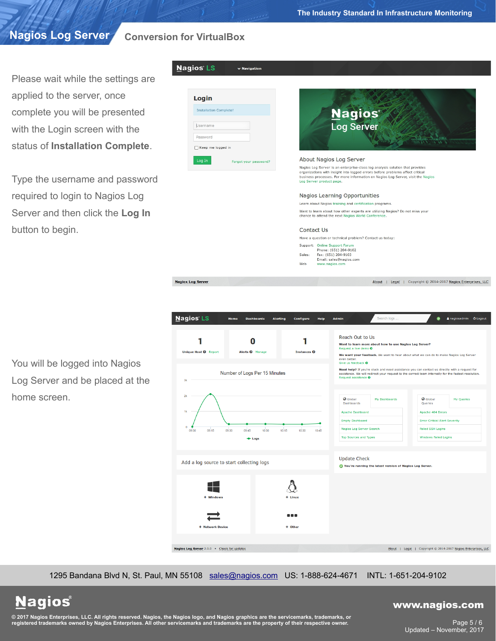**Conversion for VirtualBox**

**Nagios LS** 

Please wait while the settings are applied to the server, once complete you will be presented with the Login screen with the status of **Installation Complete**.

Type the username and password required to login to Nagios Log Server and then click the **Log In** button to begin.



 $\vee$  Navigation



#### Nagios Learning Opportunities

Learn about Nagios training and certification programs. Want to learn about how other experts are utilizing Nagios? Do not miss your<br>chance to attend the next Nagios World Conference.

#### Contact Us

Have a question or technical problem? Contact us today: Support: Online Support Foru

### Phone: (651) 204-9102<br>Fax: (651) 204-9103

Sales: Email: sales@nagios.com Web www.nagios.com

**Nagios Log Server** 

You will be logged into Nagios Log Server and be placed at the home screen.



1295 Bandana Blvd N, St. Paul, MN 55108 [sales@nagios.com](mailto:sales@nagios.com) US: 1-888-624-4671 INTL: 1-651-204-9102

**Nagios®** 

#### [www.nagios.com](https://www.nagios.com/)

About | Legal | Copyright © 2014-2017 Nagios Enterprises, LLC

© 2017 Nagios Enterprises, LLC. All rights reserved. Nagios, the Nagios logo, and Nagios graphics are the servicemarks, trademarks, or<br>registered trademarks owned by Nagios Enterprises. All other servicemarks and trademark

Page 5 / 6 Updated – November, 2017